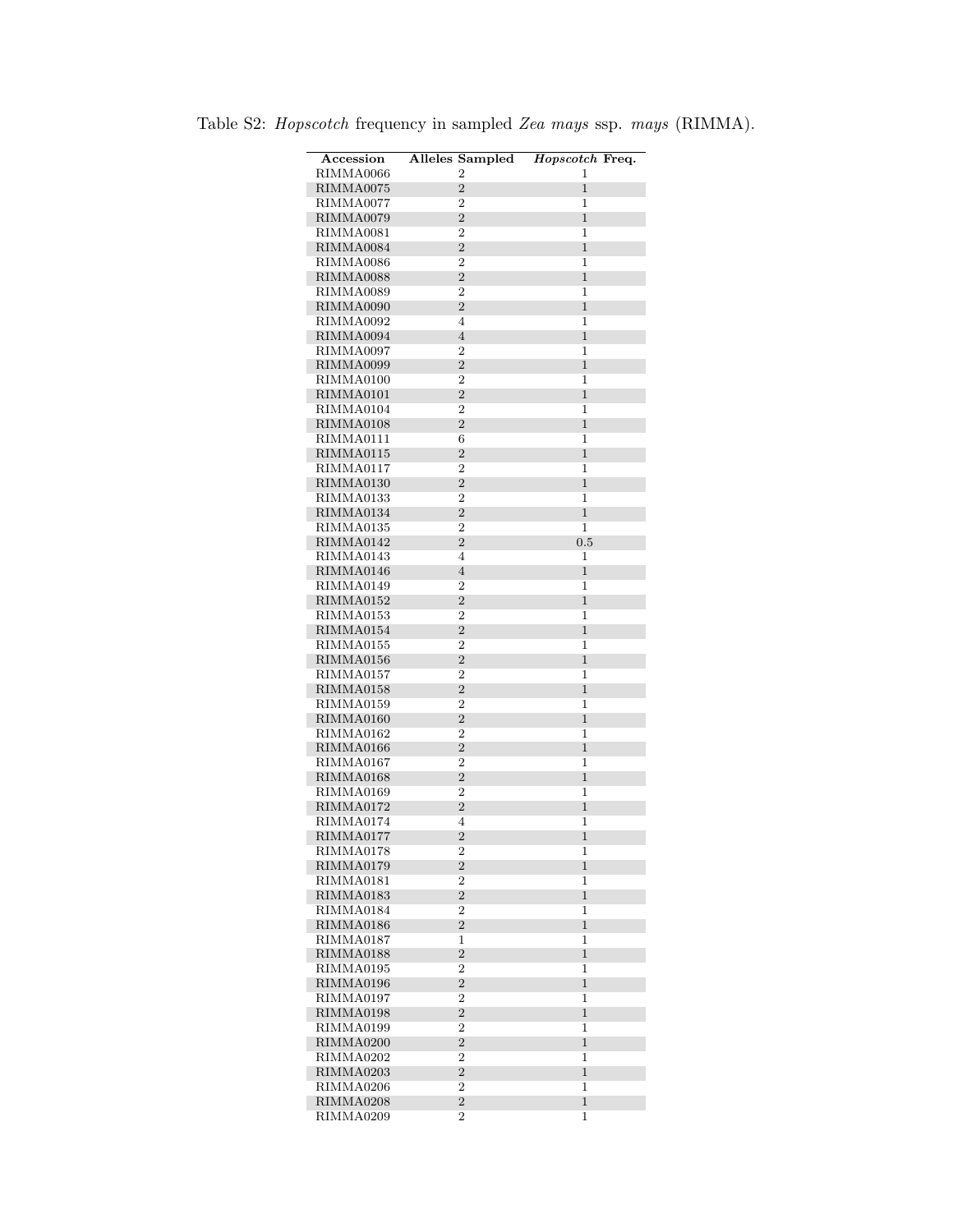| Accession              | <b>Alleles Sampled</b>           | Hopscotch Freq.   |
|------------------------|----------------------------------|-------------------|
| RIMMA0066              | $\overline{2}$                   | 1                 |
| RIMMA0075              | $\overline{2}$                   | $\mathbf{1}$      |
| RIMMA0077              | $\overline{2}$                   | 1                 |
| RIMMA0079              | $\overline{2}$                   | $\mathbf{1}$      |
| RIMMA0081              | $\overline{2}$                   | 1                 |
| RIMMA0084              | $\overline{2}$                   | $\mathbf{1}$      |
| RIMMA0086              | $\overline{2}$                   | 1                 |
| RIMMA0088              | $\overline{2}$                   | $\mathbf{1}$      |
| RIMMA0089              | $\overline{2}$                   | 1                 |
| RIMMA0090              | $\overline{2}$                   | $\mathbf{1}$      |
| RIMMA0092              | $\overline{4}$                   | 1                 |
| RIMMA0094              | $\overline{4}$                   | $\mathbf{1}$      |
| RIMMA0097              | 2                                | 1                 |
| RIMMA0099              | $\overline{2}$                   | $\mathbf{1}$      |
| RIMMA0100              | $\overline{2}$                   | 1                 |
| RIMMA0101              | $\overline{2}$                   | $\mathbf{1}$      |
| RIMMA0104              | $\overline{2}$                   | 1                 |
| RIMMA0108              | $\overline{2}$                   | $\mathbf{1}$      |
| RIMMA0111              | 6                                | 1                 |
| RIMMA0115              | $\overline{2}$                   | $\mathbf{1}$      |
| RIMMA0117              | $\overline{2}$                   | 1                 |
| RIMMA0130              | $\overline{2}$                   | $\mathbf{1}$      |
| RIMMA0133              | $\overline{2}$                   | 1                 |
| RIMMA0134              | $\overline{2}$                   | $\mathbf{1}$      |
| RIMMA0135              | $\overline{2}$                   | $\mathbf{1}$      |
| RIMMA0142              | $\overline{2}$                   | 0.5               |
| RIMMA0143              | 4                                | 1                 |
| RIMMA0146              | $\overline{4}$                   | $\mathbf{1}$      |
| RIMMA0149              | $\overline{2}$                   | 1                 |
| RIMMA0152              | $\overline{2}$                   | $\mathbf{1}$      |
| RIMMA0153              | $\overline{2}$                   | $\mathbf{1}$      |
| RIMMA0154              | $\sqrt{2}$                       | $\mathbf{1}$      |
| RIMMA0155              | $\overline{2}$                   | 1                 |
| RIMMA0156              | $\overline{2}$                   | $\mathbf{1}$      |
| RIMMA0157              | $\overline{2}$                   | 1                 |
| RIMMA0158              | $\overline{2}$                   | $\mathbf{1}$      |
| RIMMA0159              | $\overline{2}$                   | 1                 |
| RIMMA0160              | $\overline{2}$                   | $\mathbf{1}$      |
| RIMMA0162<br>RIMMA0166 | 2                                | 1                 |
|                        | $\overline{2}$<br>$\overline{2}$ | $\mathbf{1}$      |
| RIMMA0167<br>RIMMA0168 | $\overline{2}$                   | 1<br>$\mathbf{1}$ |
| RIMMA0169              | $\overline{2}$                   | 1                 |
| RIMMA0172              | $\overline{2}$                   | $\mathbf{1}$      |
| RIMMA0174              | 4                                | 1                 |
| RIMMA0177              | $\overline{2}$                   | 1                 |
| RIMMA0178              | 2                                | 1                 |
| RIMMA0179              | $\overline{2}$                   | $\mathbf{1}$      |
| RIMMA0181              | $\overline{2}$                   | 1                 |
| RIMMA0183              | $\overline{2}$                   | $\mathbf{1}$      |
| RIMMA0184              | $\boldsymbol{2}$                 | $\mathbf{1}$      |
| RIMMA0186              | $\overline{2}$                   | $\mathbf{1}$      |
| RIMMA0187              | 1                                | 1                 |
| RIMMA0188              | $\overline{2}$                   | $\mathbf{1}$      |
| RIMMA0195              | $\overline{2}$                   | $\mathbf{1}$      |
| RIMMA0196              | $\overline{2}$                   | $\mathbf{1}$      |
| RIMMA0197              | $\mathbf{2}$                     | $\mathbf{1}$      |
| RIMMA0198              | $\overline{2}$                   | $\mathbf{1}$      |
| RIMMA0199              | $\boldsymbol{2}$                 | 1                 |
| RIMMA0200              | $\overline{2}$                   | $\mathbf{1}$      |
| RIMMA0202              | $\overline{2}$                   | $\mathbf{1}$      |
| RIMMA0203              | $\overline{2}$                   | $\mathbf{1}$      |
| RIMMA0206              | $\overline{2}$                   | 1                 |
| RIMMA0208              | $\overline{2}$                   | $\mathbf{1}$      |
| RIMMA0209              | 2                                | 1                 |

Table S2: Hopscotch frequency in sampled Zea mays ssp. mays (RIMMA).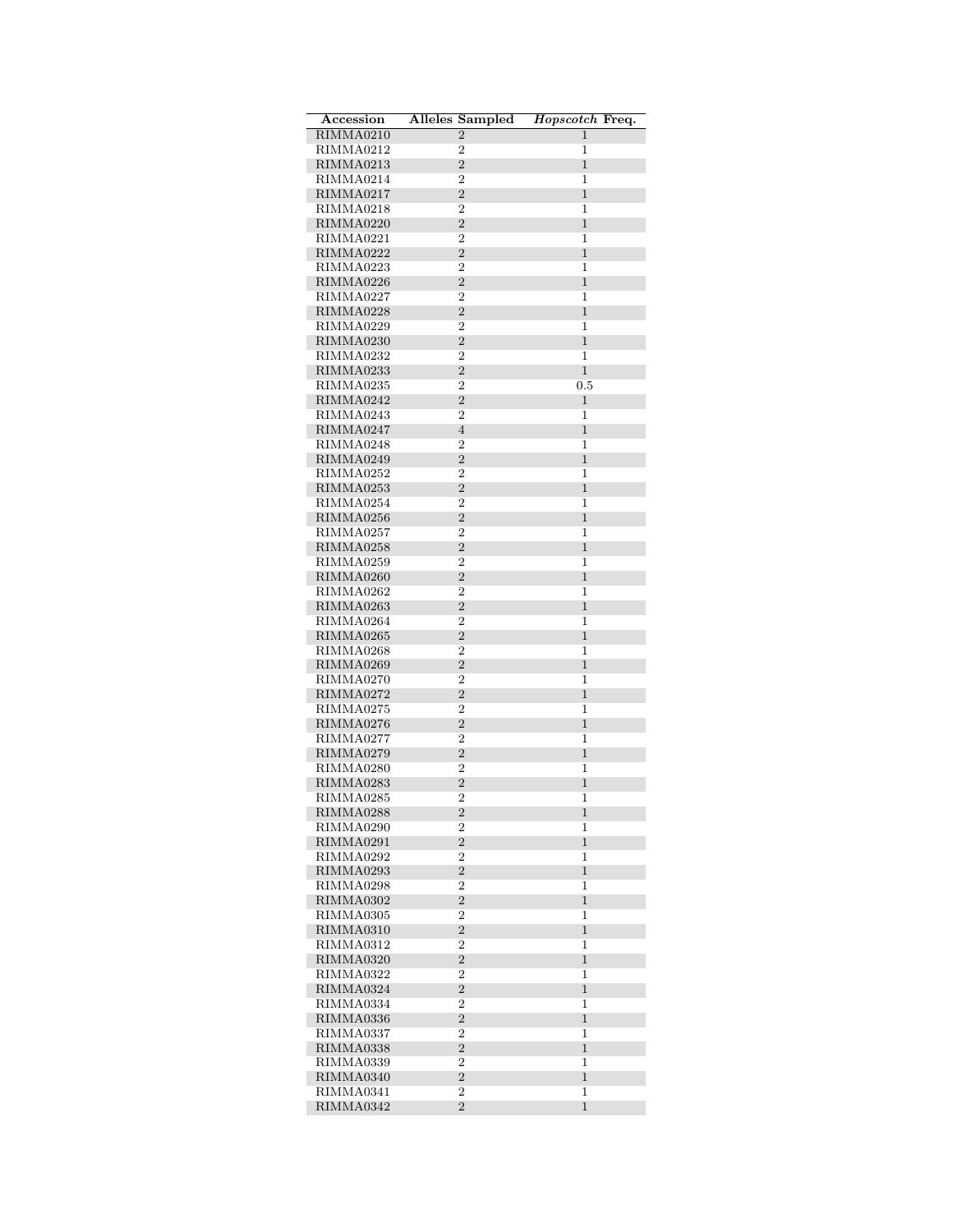| Accession              | <b>Alleles Sampled</b>           | Hopscotch Freq.              |
|------------------------|----------------------------------|------------------------------|
| RIMMA0210              | $\overline{2}$                   | 1                            |
| RIMMA0212              | $\overline{2}$                   | 1                            |
| RIMMA0213              | $\overline{2}$                   | $\mathbf{1}$                 |
| RIMMA0214              | $\overline{2}$                   | 1                            |
| RIMMA0217              | $\overline{2}$                   | $\mathbf{1}$                 |
| RIMMA0218              | $\overline{2}$                   | 1                            |
| RIMMA0220              | $\overline{2}$                   | $\mathbf{1}$                 |
| RIMMA0221              | $\overline{2}$                   | 1                            |
| RIMMA0222              | $\overline{2}$                   | $\mathbf{1}$                 |
| RIMMA0223              | $\overline{2}$<br>$\overline{2}$ | 1<br>$\mathbf{1}$            |
| RIMMA0226<br>RIMMA0227 | 2                                | 1                            |
| RIMMA0228              | $\overline{2}$                   | $\mathbf{1}$                 |
| RIMMA0229              | 2                                | 1                            |
| RIMMA0230              | $\overline{2}$                   | $\mathbf{1}$                 |
| RIMMA0232              | $\overline{2}$                   | 1                            |
| RIMMA0233              | $\overline{2}$                   | $\mathbf{1}$                 |
| RIMMA0235              | $\overline{2}$                   | 0.5                          |
| RIMMA0242              | $\overline{2}$                   | $\mathbf 1$                  |
| RIMMA0243              | $\overline{2}$                   | 1                            |
| RIMMA0247              | $\overline{4}$                   | $\mathbf{1}$                 |
| RIMMA0248              | $\overline{2}$                   | 1                            |
| RIMMA0249              | $\overline{2}$                   | $\mathbf{1}$                 |
| RIMMA0252              | $\overline{2}$                   | 1                            |
| RIMMA0253              | $\overline{2}$                   | $\mathbf{1}$                 |
| RIMMA0254              | 2                                | 1                            |
| RIMMA0256              | $\overline{2}$                   | $\mathbf{1}$                 |
| RIMMA0257<br>RIMMA0258 | $\overline{2}$<br>$\overline{2}$ | 1<br>$\mathbf{1}$            |
| RIMMA0259              | $\overline{2}$                   | 1                            |
| RIMMA0260              | $\overline{2}$                   | $\mathbf{1}$                 |
| RIMMA0262              | $\overline{2}$                   | 1                            |
| RIMMA0263              | $\overline{2}$                   | $\mathbf{1}$                 |
| RIMMA0264              | $\overline{2}$                   | 1                            |
| RIMMA0265              | $\overline{2}$                   | $\mathbf{1}$                 |
| RIMMA0268              | $\overline{2}$                   | 1                            |
| RIMMA0269              | $\overline{2}$                   | $\mathbf{1}$                 |
| RIMMA0270              | 2                                | 1                            |
| RIMMA0272              | $\overline{2}$                   | $\mathbf{1}$                 |
| RIMMA0275              | 2                                | 1                            |
| RIMMA0276              | $\overline{2}$                   | $\mathbf{1}$                 |
| RIMMA0277              | $\overline{2}$                   | 1                            |
| RIMMA0279              | $\overline{2}$<br>$\overline{2}$ | $\mathbf{1}$                 |
| RIMMA0280              | $\sqrt{2}$                       | 1<br>$\mathbf{1}$            |
| RIMMA0283<br>RIMMA0285 | $\overline{2}$                   | 1                            |
| RIMMA0288              | $\overline{2}$                   | $\mathbf{1}$                 |
| RIMMA0290              | 2                                | 1                            |
| RIMMA0291              | $\overline{2}$                   | $\mathbf{1}$                 |
| RIMMA0292              | $\overline{2}$                   | 1                            |
| RIMMA0293              | $\overline{2}$                   | $\mathbf{1}$                 |
| RIMMA0298              | 2                                | 1                            |
| RIMMA0302              | $\overline{2}$                   | $\mathbf{1}$                 |
| RIMMA0305              | $\overline{2}$                   | 1                            |
| RIMMA0310              | $\overline{2}$                   | $\mathbf{1}$                 |
| RIMMA0312              | $\overline{2}$                   | 1                            |
| RIMMA0320              | $\overline{2}$                   | $\mathbf{1}$                 |
| RIMMA0322              | $\overline{2}$                   | 1                            |
| RIMMA0324              | $\overline{2}$<br>$\overline{2}$ | $\mathbf{1}$<br>$\mathbf{1}$ |
| RIMMA0334<br>RIMMA0336 | $\overline{2}$                   | $\mathbf{1}$                 |
| RIMMA0337              | $\overline{2}$                   | 1                            |
| RIMMA0338              | $\overline{2}$                   | $\mathbf{1}$                 |
| RIMMA0339              | 2                                | 1                            |
| RIMMA0340              | $\overline{2}$                   | $\mathbf{1}$                 |
| RIMMA0341              | $\overline{2}$                   | 1                            |
| RIMMA0342              | $\overline{2}$                   | $\mathbf{1}$                 |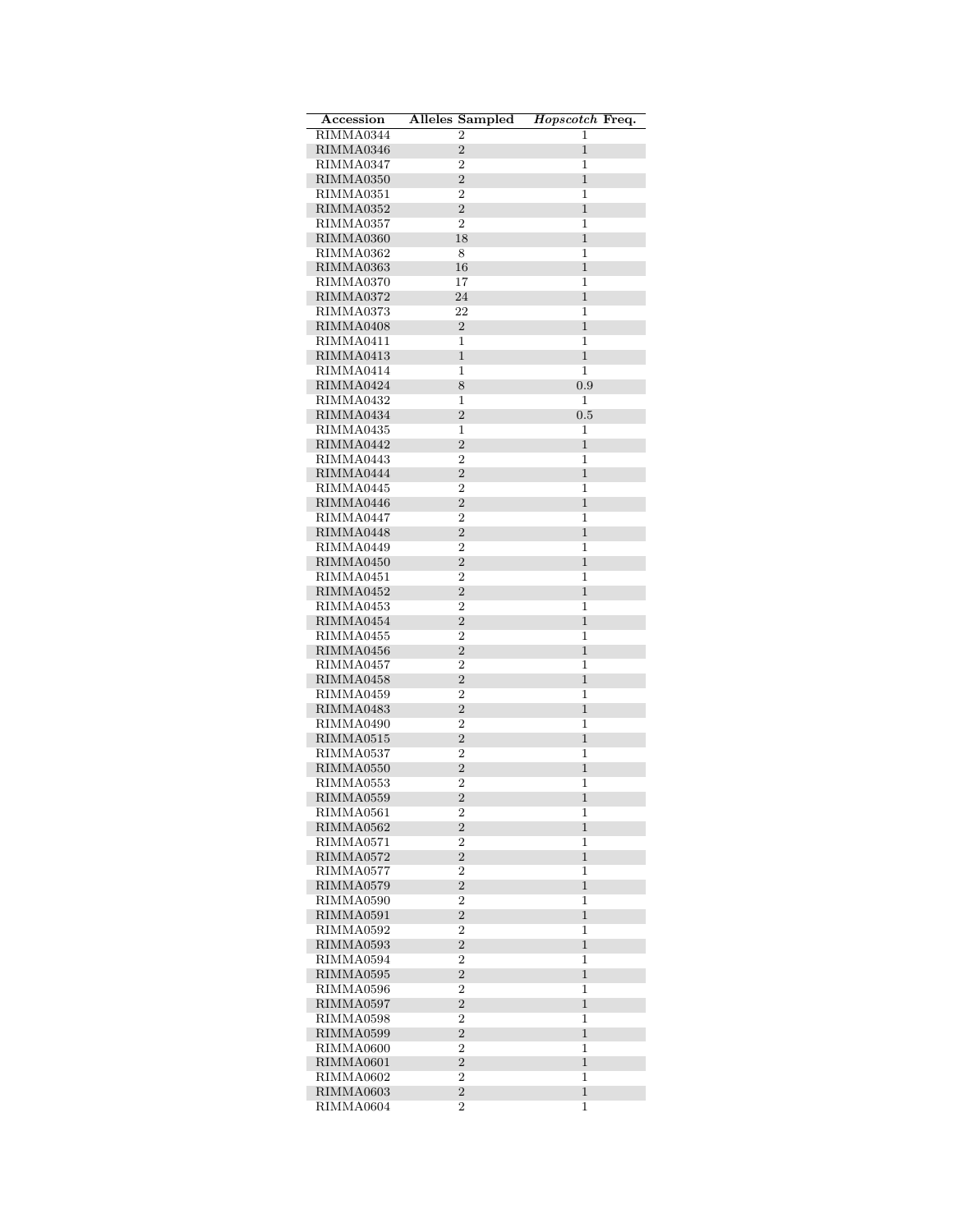| Accession              | Alleles Sampled Hopscotch Freq.  |                   |
|------------------------|----------------------------------|-------------------|
| RIMMA0344              | $\overline{2}$                   | 1                 |
| RIMMA0346              | $\overline{2}$                   | 1                 |
| RIMMA0347              | $\overline{2}$                   | 1                 |
| RIMMA0350              | $\overline{2}$                   | $\mathbf{1}$      |
| RIMMA0351              | $\overline{2}$                   | 1                 |
| RIMMA0352              | $\overline{2}$                   | $\mathbf{1}$      |
| RIMMA0357              | 2                                | 1                 |
| RIMMA0360              | 18                               | $\mathbf{1}$      |
| RIMMA0362              | 8                                | 1                 |
| RIMMA0363              | 16                               | $\mathbf{1}$      |
| RIMMA0370              | 17                               | 1                 |
| RIMMA0372              | 24                               | $\mathbf{1}$      |
| RIMMA0373              | 22                               | 1                 |
| RIMMA0408              | $\overline{2}$                   | 1                 |
| RIMMA0411              | $\mathbf 1$                      | 1                 |
| RIMMA0413              | $\mathbf 1$                      | $\mathbf{1}$      |
| RIMMA0414              | 1                                | 1                 |
| RIMMA0424              | 8                                | 0.9               |
| RIMMA0432              | 1                                | 1                 |
| RIMMA0434              | $\overline{2}$                   | 0.5               |
| RIMMA0435              | 1                                | 1                 |
| RIMMA0442              | $\overline{2}$                   | $\mathbf{1}$      |
| RIMMA0443              | $\overline{2}$                   | 1                 |
| RIMMA0444              | $\overline{2}$                   | $\mathbf{1}$      |
| RIMMA0445              | $\overline{2}$                   | 1                 |
| RIMMA0446              | $\overline{2}$                   | 1                 |
| RIMMA0447<br>RIMMA0448 | $\overline{2}$<br>$\overline{2}$ | 1<br>1            |
| RIMMA0449              | $\overline{2}$                   | 1                 |
| RIMMA0450              | $\overline{2}$                   | $\mathbf{1}$      |
| RIMMA0451              | $\overline{2}$                   | 1                 |
| RIMMA0452              | $\overline{2}$                   | $\mathbf{1}$      |
| RIMMA0453              | 2                                | 1                 |
| RIMMA0454              | $\overline{2}$                   | $\mathbf{1}$      |
| RIMMA0455              | $\overline{2}$                   | 1                 |
| RIMMA0456              | $\overline{2}$                   | $\mathbf{1}$      |
| RIMMA0457              | $\overline{2}$                   | 1                 |
| RIMMA0458              | $\overline{2}$                   | $\mathbf{1}$      |
| RIMMA0459              | $\overline{2}$                   | 1                 |
| RIMMA0483              | $\overline{2}$                   | 1                 |
| RIMMA0490              | $\overline{2}$                   | 1                 |
| RIMMA0515              | $\overline{2}$                   | $\mathbf{1}$      |
| RIMMA0537              | 2                                | 1                 |
| RIMMA0550              | $\overline{2}$                   | $\mathbf{1}$      |
| RIMMA0553              | 2                                | 1                 |
| RIMMA0559              | $\overline{2}$                   | 1                 |
| RIMMA0561              | 2                                | 1                 |
| RIMMA0562              | $\overline{2}$                   | 1                 |
| RIMMA0571              | $\overline{2}$                   | 1                 |
| RIMMA0572              | $\overline{2}$                   | $\mathbf{1}$      |
| RIMMA0577              | $\overline{2}$                   | 1                 |
| RIMMA0579              | $\overline{2}$                   | $\mathbf{1}$      |
| RIMMA0590              | 2                                | 1                 |
| RIMMA0591              | $\overline{2}$                   | $\mathbf{1}$      |
| RIMMA0592              | $\overline{2}$                   | 1                 |
| RIMMA0593              | $\overline{2}$                   | $\mathbf{1}$      |
| RIMMA0594              | $\overline{2}$                   | 1                 |
| RIMMA0595              | $\overline{2}$                   | $\mathbf{1}$      |
| RIMMA0596              | 2                                | 1                 |
| RIMMA0597              | $\overline{2}$                   | $\mathbf{1}$      |
| RIMMA0598              | $\overline{2}$                   | 1                 |
| RIMMA0599              | $\overline{2}$                   | $\mathbf{1}$      |
| RIMMA0600              | $\overline{2}$                   | 1                 |
| RIMMA0601              | $\overline{2}$<br>$\overline{2}$ | $\mathbf{1}$<br>1 |
| RIMMA0602<br>RIMMA0603 | $\overline{2}$                   | $\mathbf{1}$      |
| RIMMA0604              | $\overline{2}$                   | 1                 |
|                        |                                  |                   |